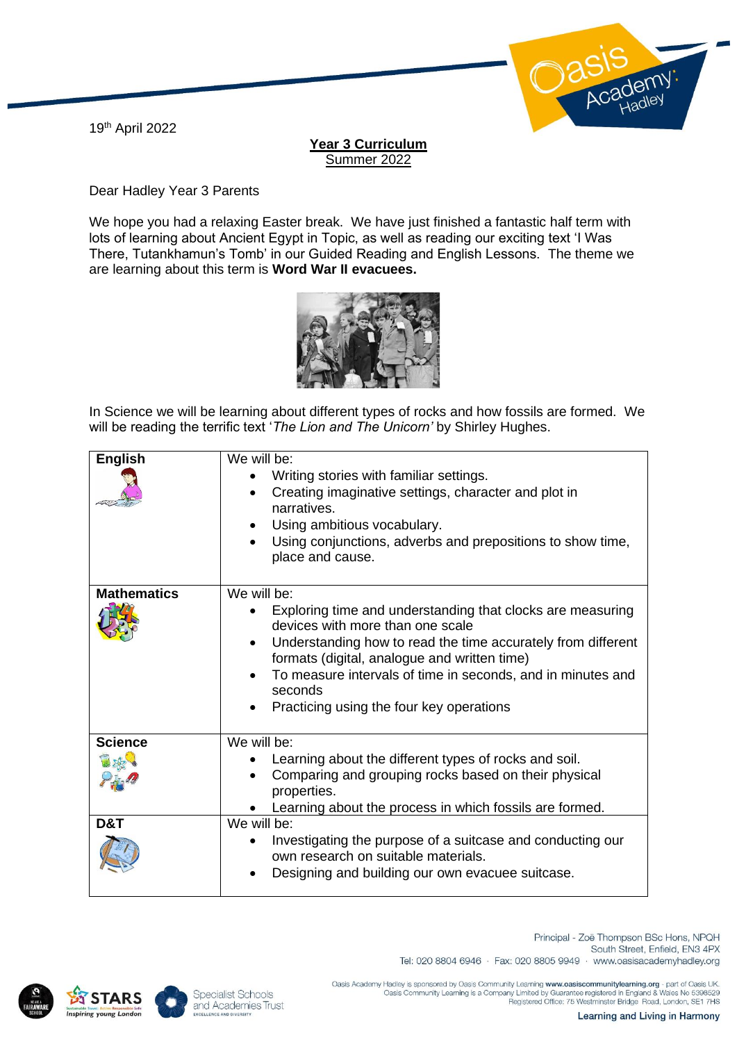19th April 2022



## **Year 3 Curriculum** Summer 2022

Dear Hadley Year 3 Parents

We hope you had a relaxing Easter break. We have just finished a fantastic half term with lots of learning about Ancient Egypt in Topic, as well as reading our exciting text 'I Was There, Tutankhamun's Tomb' in our Guided Reading and English Lessons. The theme we are learning about this term is **Word War II evacuees.**



In Science we will be learning about different types of rocks and how fossils are formed. We will be reading the terrific text '*The Lion and The Unicorn'* by Shirley Hughes.

| <b>English</b>     | We will be:<br>Writing stories with familiar settings.<br>Creating imaginative settings, character and plot in<br>$\bullet$<br>narratives.<br>Using ambitious vocabulary.<br>$\bullet$<br>Using conjunctions, adverbs and prepositions to show time,<br>place and cause.                                                                            |
|--------------------|-----------------------------------------------------------------------------------------------------------------------------------------------------------------------------------------------------------------------------------------------------------------------------------------------------------------------------------------------------|
| <b>Mathematics</b> | We will be:<br>Exploring time and understanding that clocks are measuring<br>devices with more than one scale<br>Understanding how to read the time accurately from different<br>formats (digital, analogue and written time)<br>To measure intervals of time in seconds, and in minutes and<br>seconds<br>Practicing using the four key operations |
| <b>Science</b>     | We will be:<br>Learning about the different types of rocks and soil.<br>Comparing and grouping rocks based on their physical<br>properties.<br>Learning about the process in which fossils are formed.                                                                                                                                              |
| D&T                | We will be:<br>Investigating the purpose of a suitcase and conducting our<br>own research on suitable materials.<br>Designing and building our own evacuee suitcase.                                                                                                                                                                                |





Principal - Zoë Thompson BSc Hons, NPQH South Street, Enfield, EN3 4PX Tel: 020 8804 6946 · Fax: 020 8805 9949 · www.oasisacademyhadley.org